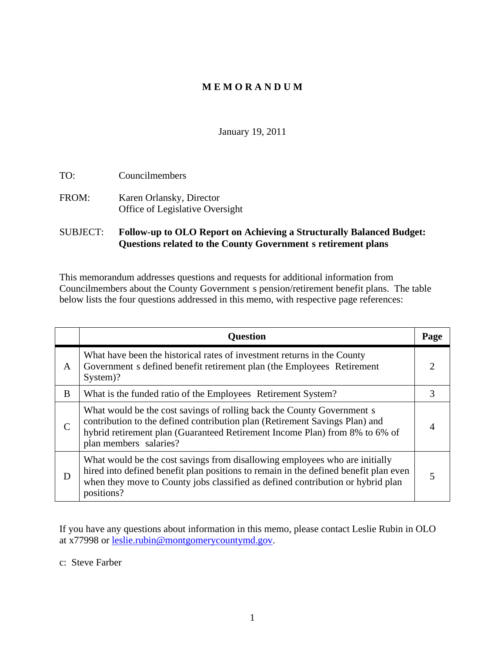# **M E M O R A N D U M**

January 19, 2011

TO: Councilmembers FROM: Karen Orlansky, Director Office of Legislative Oversight

### SUBJECT: **Follow-up to OLO Report on Achieving a Structurally Balanced Budget: Questions related to the County Government s retirement plans**

This memorandum addresses questions and requests for additional information from Councilmembers about the County Government s pension/retirement benefit plans. The table below lists the four questions addressed in this memo, with respective page references:

| <b>Question</b>                                                                                                                                                                                                                                                        | Page |
|------------------------------------------------------------------------------------------------------------------------------------------------------------------------------------------------------------------------------------------------------------------------|------|
| What have been the historical rates of investment returns in the County<br>Government s defined benefit retirement plan (the Employees Retirement<br>System)?                                                                                                          |      |
| What is the funded ratio of the Employees Retirement System?                                                                                                                                                                                                           |      |
| What would be the cost savings of rolling back the County Government s<br>contribution to the defined contribution plan (Retirement Savings Plan) and<br>hybrid retirement plan (Guaranteed Retirement Income Plan) from 8% to 6% of<br>plan members salaries?         |      |
| What would be the cost savings from disallowing employees who are initially<br>hired into defined benefit plan positions to remain in the defined benefit plan even  <br>when they move to County jobs classified as defined contribution or hybrid plan<br>positions? |      |

If you have any questions about information in this memo, please contact Leslie Rubin in OLO at x77998 or leslie.rubin@montgomerycountymd.gov.

c: Steve Farber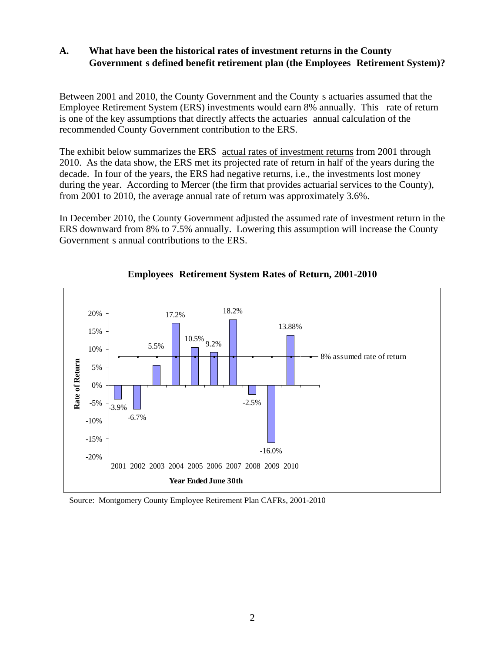### **A. What have been the historical rates of investment returns in the County Government s defined benefit retirement plan (the Employees Retirement System)?**

Between 2001 and 2010, the County Government and the County s actuaries assumed that the Employee Retirement System (ERS) investments would earn 8% annually. This rate of return is one of the key assumptions that directly affects the actuaries annual calculation of the recommended County Government contribution to the ERS.

The exhibit below summarizes the ERS actual rates of investment returns from 2001 through 2010. As the data show, the ERS met its projected rate of return in half of the years during the decade. In four of the years, the ERS had negative returns, i.e., the investments lost money during the year. According to Mercer (the firm that provides actuarial services to the County), from 2001 to 2010, the average annual rate of return was approximately  $3.6\%$ .

In December 2010, the County Government adjusted the assumed rate of investment return in the ERS downward from 8% to 7.5% annually. Lowering this assumption will increase the County Government s annual contributions to the ERS.



### **Employees Retirement System Rates of Return, 2001-2010**

Source: Montgomery County Employee Retirement Plan CAFRs, 2001-2010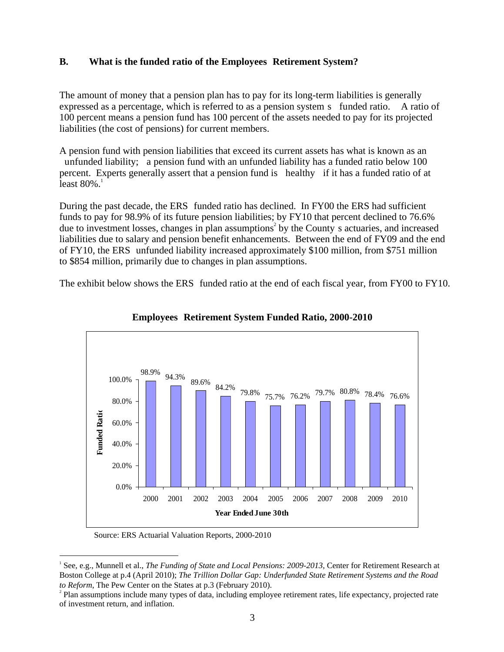### **B. What is the funded ratio of the Employees Retirement System?**

The amount of money that a pension plan has to pay for its long-term liabilities is generally expressed as a percentage, which is referred to as a pension system s funded ratio. A ratio of 100 percent means a pension fund has 100 percent of the assets needed to pay for its projected liabilities (the cost of pensions) for current members.

A pension fund with pension liabilities that exceed its current assets has what is known as an unfunded liability; a pension fund with an unfunded liability has a funded ratio below 100 percent. Experts generally assert that a pension fund is healthy if it has a funded ratio of at least  $80\%$ .<sup>1</sup>

During the past decade, the ERS funded ratio has declined. In FY00 the ERS had sufficient funds to pay for 98.9% of its future pension liabilities; by FY10 that percent declined to 76.6% due to investment losses, changes in plan assumptions<sup>2</sup> by the County s actuaries, and increased liabilities due to salary and pension benefit enhancements. Between the end of FY09 and the end of FY10, the ERS unfunded liability increased approximately \$100 million, from \$751 million to \$854 million, primarily due to changes in plan assumptions.

The exhibit below shows the ERS funded ratio at the end of each fiscal year, from FY00 to FY10.



#### **Employees Retirement System Funded Ratio, 2000-2010**

Source: ERS Actuarial Valuation Reports, 2000-2010

<sup>1</sup> See, e.g., Munnell et al., *The Funding of State and Local Pensions: 2009-2013*, Center for Retirement Research at Boston College at p.4 (April 2010); *The Trillion Dollar Gap: Underfunded State Retirement Systems and the Road to Reform*, The Pew Center on the States at p.3 (February 2010).

<sup>&</sup>lt;sup>2</sup> Plan assumptions include many types of data, including employee retirement rates, life expectancy, projected rate of investment return, and inflation.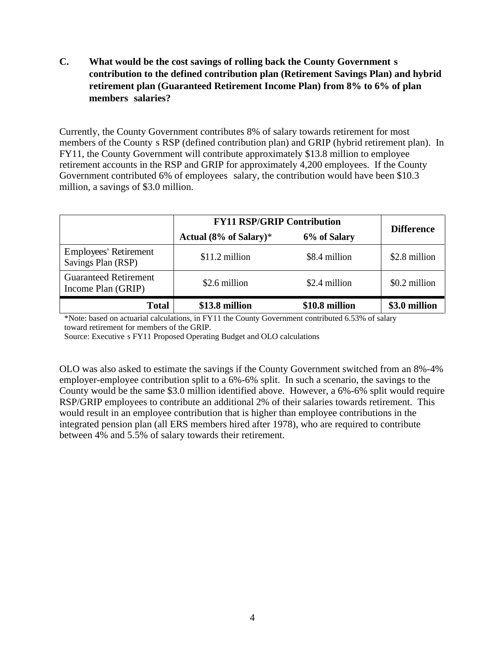# **C. What would be the cost savings of rolling back the County Government s contribution to the defined contribution plan (Retirement Savings Plan) and hybrid retirement plan (Guaranteed Retirement Income Plan) from 8% to 6% of plan members salaries?**

Currently, the County Government contributes 8% of salary towards retirement for most members of the County s RSP (defined contribution plan) and GRIP (hybrid retirement plan). In FY11, the County Government will contribute approximately \$13.8 million to employee retirement accounts in the RSP and GRIP for approximately 4,200 employees. If the County Government contributed 6% of employees salary, the contribution would have been \$10.3 million, a savings of \$3.0 million.

|                                                    | <b>FY11 RSP/GRIP Contribution</b> |                | <b>Difference</b> |
|----------------------------------------------------|-----------------------------------|----------------|-------------------|
|                                                    | Actual $(8\%$ of Salary)*         | 6% of Salary   |                   |
| <b>Employees' Retirement</b><br>Savings Plan (RSP) | $$11.2$ million                   | \$8.4 million  | \$2.8 million     |
| <b>Guaranteed Retirement</b><br>Income Plan (GRIP) | \$2.6 million                     | \$2.4 million  | \$0.2 million     |
| <b>Total</b>                                       | \$13.8 million                    | \$10.8 million | \$3.0 million     |

\*Note: based on actuarial calculations, in FY11 the County Government contributed 6.53% of salary toward retirement for members of the GRIP.

Source: Executive s FY11 Proposed Operating Budget and OLO calculations

OLO was also asked to estimate the savings if the County Government switched from an 8%-4% employer-employee contribution split to a 6%-6% split. In such a scenario, the savings to the County would be the same \$3.0 million identified above. However, a 6%-6% split would require RSP/GRIP employees to contribute an additional 2% of their salaries towards retirement. This would result in an employee contribution that is higher than employee contributions in the integrated pension plan (all ERS members hired after 1978), who are required to contribute between 4% and 5.5% of salary towards their retirement.